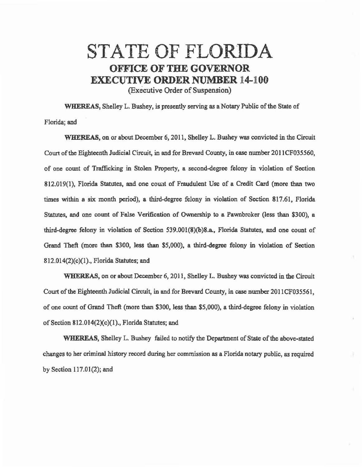## STATE OF FLORIDA OFFICE OF THE GOVERNOR EXECUTIVE ORDER NUMBER 14-100 (Executive Order of Suspension)

WHEREAS, Shelley L. Bushey, is presently serving as a Notary Public of the State of Florida; and

WHEREAS, on or about December 6, 2011, Shelley L. Bushey was convicted in the Circuit Court of the Eighteenth Judicial Circuit, in and for Brevard County, in case number 201 ICF035560, of one count of Traffic.king in Stolen Property, a second-degree felony in violation of Section 812.019(1), Florida Statutes, and one couat of Fraudulent Use of a Credit Card (more than two times within a six month period), a third-degree felony in violation of Section 817.61. Florida Statutes, and one count of False Verification of Ownership to a Pawnbroker (less than \$300), a third-degree felony in violation of Section 539.001(8)(b)8.a., Florida Statutes, and one count of Grand Theft (more than \$300, less than \$5,000), a third-degree felony in violation of Section 812.014(2)(c)(l)., Florida Statutes; and

'WHEREAS, on or about December 6, 2011, Shelley L. Bushey was convicted in the Circuit Court of the Eighteenth Judicial Circuit, in and for Brevard County, in case number 2011CF035561, of one count of Grand Theft (more than \$300, less than \$5,000). a third-degree felony in violation of Section 812.014(2)(c)(l)., Florida Statutes; end

WHEREAS, Shelley L. Bushey failed to notify the Department of State of the above-stated changes to her criminal history record during her commission as a Florida notary public, as required by Section 117.01(2); and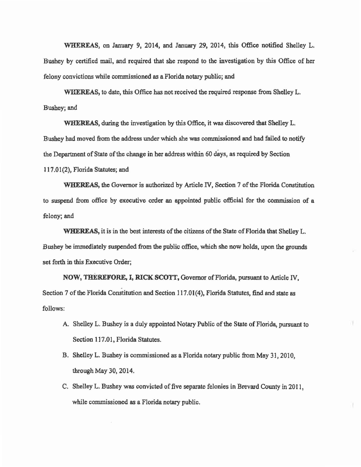WHEREAS, on January 9, 2014, and January 29, 2014, this Office notified Shelley L. Bushey by certified mail, and required that she respond to the investigation by this Office of her felony convictions while commissioned as a Florida notary public; and

WHEREAS, to date, this Office has not received the required response from Shelley L. Bushey; and

WHEREAS, during the investigation by this Office, it was discovered that Shelley L. Bushey had moved from the address under which she was commissioned and had failed to notify the Department of State of the change in her address within 60 days, as required by Section 117.01(2}, Florida Statutes; and

WHEREAS, the Governor is authorized by Article IV, Section 7 of the Florida Constitution to suspend from office by executive order an appointed public official for the commission of a felony; and

WHEREAS, it is in the best interests of the citizens of the State of Florida that Shelley L. Bushey be immediately suspended from the public office, which she now holds, upon the grounds set forth in this Executive Order;

NOW, THEREFORE, I, RICK SCOTT, Governor of Florida, pursuant to Article IV, . Section 7 of the Florida Constitution and Section 117.01(4}, Florida Statutes, find and state as follows:

- A. Shelley L. Bushey is a duly appointed Notary Public of the State of Florida, pursuant to Section 117.01. Florida Statutes.
- B. Shelley L. Bushey is commissioned as a Florida notary public from May 31, 2010, through May 30, 2014.
- C. Shelley L. Bushey was convicted of five separate felonies in Brevard County in 2011, while commissioned as a Florida notary public.